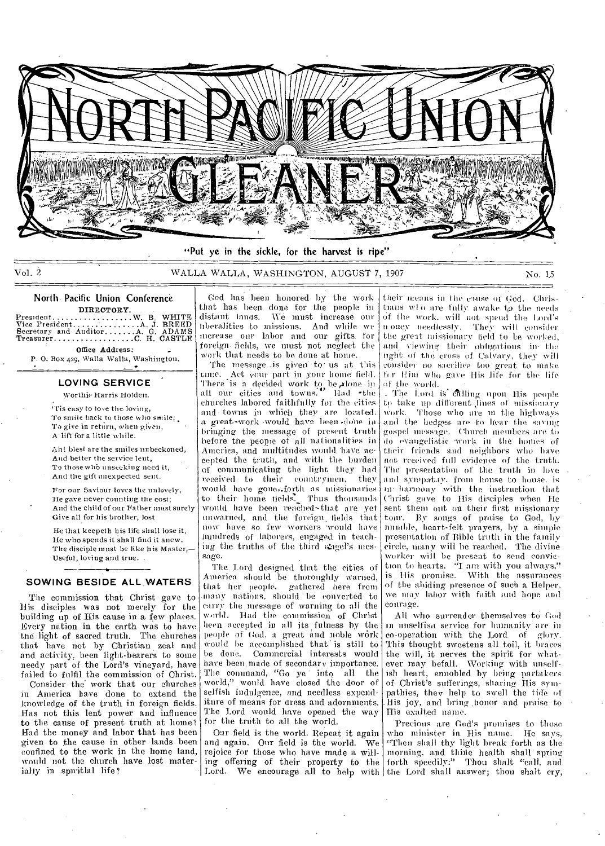

Vol. 2 WALLA WALLA, WASHINGTON, AUGUST 7, 1907 No. 1.5

### North Pacific Union Conference

DIRECTORY President W. B. WHITE Vice President A J. BREED Secretary and Auditor A G. ADAMS Treasurer C H. CASTLE

Office Address: P. 0. Box 429, Walla Walla, Washington.

#### ==--**LOVING SERVICE**

Worthie Harris Holden.

'Tis easy to love the. loving, To smile back to those who smile; To give in return, when given, A lift fora little while.

Ali! blest are the smiles unbeckoned, And better the service lent. To those whb unseeking need it, And the gift unexpected sent.

For our Saviour loves the unlovely, He gave never counting the cost; And the child of our Father must surely Give all for his brother, lost

He that keepeth his life shall lose it, He who spends it shall find it anew. The disciple must be like his Master,-Useful, loving and true.

#### **SOWING BESIDE ALL WATERS**

The commission that Christ gave to His disciples was not merely for the building up of His cause in a few places. Every nation in the earth was to have the light of sacred truth. The churches that have not by Christian zeal and and activity, been light-bearers to some needy part of the Lord's vineyard, have failed to fulfil the commission of Christ.

Consider the work that our churches in America have done to extend the knowledge of the truth in foreign fields. Has not this lent power and influence to the cause of present truth at home? Had the money and labor that has been given to the cause in other lands been confined to the work in the home land, would not the church have lost materialty in spiritlal life?

God has been honored by the work that has been done for the people in distant langs. We must increase our liberalities to missions. And while we increase our labor and our gifts. for foreign. fields, we must not neglect the work that needs to be done at home.

The message is given to us at this time. Act your part in your home field. There is a decided work to be slone in<br>all our cities and towns. Had -the churches labored faithfully for the cities and towns in which they are located. a great-work would have been done in bringing the message of present truth before the people of all nationalities in America, and multitudes would. have accepted the truth, and with the burden of communicating the light they had received to their countrymen, they would have gonei.forth as missionaries to their home tields. Thus thousands would have been reached-that are yet unwarned, and the foreign, fields that now have so few mowers would have hundreds of laborers, engaged in teaching the truths of the third singel's message.

The Lord designed that the cities of America should be thoroughly warned, that her people, gathered here from many nations, should be eonverted to carry the message of warning to all the world. Had the commission of Christ heen accepted in all its fulness by the people of God. a great and noble work would be accomplished that is still to he done. Commercial interests would have been made of secondary importance. The command, "Go ye into all the world," would have closed the door of selfish indulgence, and needless expenditure of means for dress and adornments. The Lord would have opened the way for the truth to all the world.

Our field is the world. Repeat it again and again. Our field is the world. We rejoice for those who have made a willing offering of their property to the Lord. We encourage all to help with

their means in the clause of God. Christhans wile are fully awake to the needs of the work. will not spend the Lord's n oney needlessly. They will consider the great missionary field to be worked, and viewing their obligations in• the tight of the cross of Calvary, they will consider no sacrifice too great to make fer Him who gave His life for the life the world.

The Lord is alling upon His people to take up different lines of missionary work. Those who are in the highways -and the hedges. are to hear the saving gospel message. Church members are to do evangelistic work in the homes of their friends and neighbors who have not received full evidence of the truth. The presentation of the truth in love and sympat.iy, from house to house, is In harmony with the instruction that Christ gave to His disciples when He sent them out on their first missionary tour. By songs of praise to God, by humble, heart-felt prayers, by a simple presentation of Bible truth in the family eircle, many will be reached. The divine worker will be present to send conviction to hearts. "I am with you always,"<br>is His promise. With the assurances of the abiding presence of such a Helper. we may labor with faith and. hope and courage.

All who surrender themselves to God unselfisa service for humanity are in co-operation with the Lord of glory. 'this thought sweetens all toil, it braces the will, it nerves the spirit for whatever may befall. Working with unselfish heart, ennobled by being partakers of- Christ's sufferings, sharing His sympathies, they help to swell the tide of His joy, and bring honor and praise to His exalted name.

Precious are God's promises to those who minister in, His name. He says, "Then shall thy light break forth as the morning, and thine health shall spring forth speedily," Thou shalt "call, and the Lord shall answer; thou shalt cry,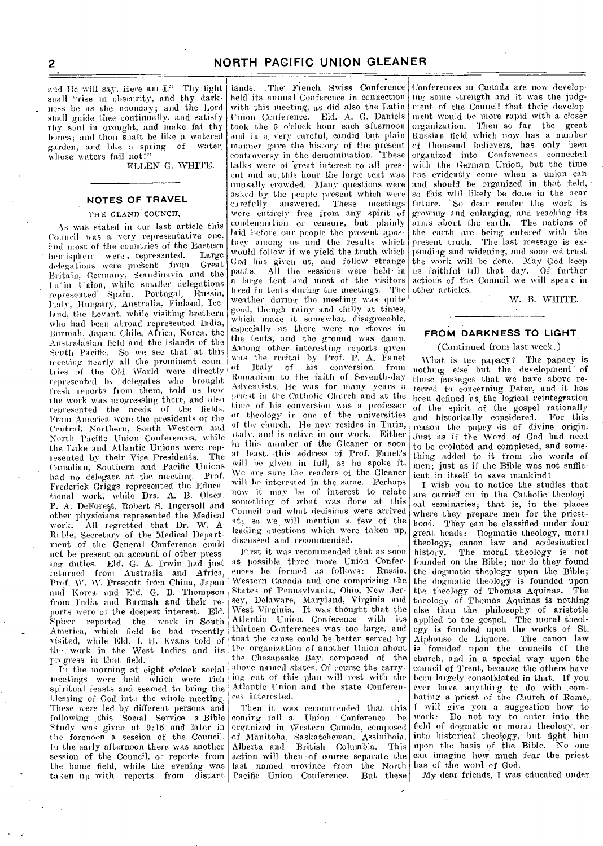and He will say, Here am I." Thy light snall "rise in obscurity, and thy darkness be •as the noonday; and the Lord shall guide thee continually, and satisfy thy saul in drought, and make fat thy hones; and thou saalt be like a watered garden, and like a spring of water, whose waters fail not!"

ELLEN G. WHITE.

#### **NOTES OF TRAVEL**

#### THE GLAND COUNCIL

As was stated in our last article this Council was a very representative one, end most of the countries of the Eastern<br>bomisphere were, represented. Large hemisphere were represented. Large<br>delegations were present from Great delegations were present from Britain, Germany, Scandinavia and the La'in Union, while smaller delegations represented Spain. Portugal, Russia, Italy, Hungary, Australia, Finland, Iceland, the Levant, while visiting brethern who had been abroad represented India, Burmah, japan. Chile, Africa, Korea, the Australasian field and the islands of the South Pacific. So we see that at this meeting nearly all the prominent countries of the Old World were directly represented by delegates who brought fresh reports from them, told us how the work was progressing there, and also represented the needs of the fields. From America Were the presidents of the Central. Northern, South Western and North Pacific Union Conferences, while the Lake and Atlantic Unions were represented by their Vice Presidents. The Canadian, Southern and Pacific Unions had no delegate at the meeting. Prof. Frederick Griggs represented the Educational work, while Drs. A. B. Olsen, P. A. DeForest, Robert S. Ingersoll and other physicians represented the Medical work. All regretted that Dr. W. A. Ruble, Secretary of the Medical. Department of the General Conference could net be present on account of other pressing duties. Eld. G. A. Irwin had just returned from Australia and Africa, Prof. W. W. Prescott from China, Japan anal Korea and -Eld. G. B. Thompson from India and Burmah and their reports were of the deepest interest. Eld. Spicer reported the America, which field he had recently visited, while Eld. I. H. Evans told of the. work in the West Indies and its progress in that field.

In the morning at eight o'clock social meetings were held which were rich spiritual feasts and seemed to bring the blessing of God into the whole meeting: These were led by different persons and following this Social Service a Bible Ftudy was given at 9:15 and later in the forenoon a session of the Council. In the early afternoon there was another session of the Council, or reports from the home field, while the evening was last named province from the North

lands. The French Swiss Conference held' its -annual Conference in connection with. this meeting, as did also the Latin Union Conference. Eld. A. G. Daniels took the 5 o'clock hour each afternoon and in a, very careful, candid but plain manner gave the history of the present controversy in the demomination. 'These talks were ot great interest to all present and at, this hour the large tent was unusally crowded. Many questions were asked by the people present which were<br>carefully answered. These meetings carefully answered. These meetings were entirely free from any spirit of condenmation or censure, but plainly laid before our people the present apostaey among us and the results which would follow if we yield the truth which God has given us, and follow strange paths. All the sessions were held in a large tent and most of the visitors lived in tents during• the meetings. The weather during the meeting was quite good, though rainy and chilly at times, which made it somewhat disagreeable, especially as there were no stoves in the tents, and the ground was damp. Among other interesting reports given was the recital by Prof. P. A. Fanet<br>of Italy of his conversion from of Italy of his conversion Hemanism to the faith of Seventh-day Adventists. lie was for many years a priest in the Catholic Church and at the time of his conversion was a professor or theology in one of the universities of the church. He now resides in Turin, italy. and is active in our work. Either in this number of the Gleaner or soon at least, -this address of Prof. Fanet's will be given in full, as he spoke it. We are sure the readers of the Gleaner will be interested in the same. Perhaps now it may be of interest to relate something of what was done at this Council and what decisions were arrived at; so we will mention a few of the leading questions which were taken up, discussed and recommended.

First it was recommended that as soon as possible three more Union Conferences be formed as follows: Western Canada and one comprising the States of Pennsylvania, Ohio. New Jersey, Delaware, Maryland, Virginia and West Virginia. It was thought that the Atlantic Union. Conference with its thirteen Conferences was too large, .and that the cause could be better served by the organization of another Union about the Chesapeake Bay. composed of the above mimed states. Of course the carrying out of this plan will rest with the Atlantic Union and the state Conferences interested.

taken up with reports from distant Pacific Union Conference. But these Then it was recommended that this coming fall a Union Conference be organized in Western Canada, composed of Manitoba, Saskatchewan. Assiniboia. Alberta and British Columbia. This action will then of course separate the

Conferences In Canada are now developing some strength and it was the judgment of the Council .that their development would be more rapid with a closer organization. Then so far the great Russian field which now has a number of thousand believers, has only been organized into Conferences connected with the German Union, but the time has evidently come when a. union can and should he organized in that field, so this will likely be done in the near future. So dear reader the work is growing; and enlarging, and reaching its arms about the earth. The nations of the earth are being entered with the present truth. The last message is expanding and widening, and soon we trust the work will be done. May God keep us faithful till that day. Of further actions of the Council we will speak in other articles.

• W. B. WHITE.

### **FROM DARKNESS TO LIGHT**

#### (Continued from last week.)

What is the papacy? The papacy is nothing else but the, development of those passages that we have above referred to concerning Peter, and it has been defined as, the logical reintegration of the spirit of the gospel rationally<br>and historically considered. For this and historically considered. reason the papcy •is of divine origin. Just as if the Word of God had need to be evoluted and completed, and something added to it from the words of men; just as if the Bible was not sufficient in itself to save mankind!

I wish you to notice the studies that are carried on in the Catholic theological seminaries; that is, in the places where they prepare men for the priesthood. They can be classified under four great heads: Dogmatic theology, moral theology, canon law and ecclesiastical The moral theology is not founded on the Bible; nor do they found the dogmatic theology upon the Bible; the dogmatic theology is founded upon the theology of Thomas Aquinas. The theology of Thomas Aquinas is nothing else than the philosophy of aristotle applied to the gospel. The moral theology is founded upon the works of St. Alphonso de Liquore. The canon law is founded upon the councils of the church, and in a special way upon the council of Trent, because the others have been largely consolidated in that. If you ever have anything to do with combating a priest of the Church of Rome,. I will give you a suggestion how to<br>work: Do not try to enter into the Do not try to enter into the field of dogmatic or moral theology, or. into historical theology, but fight him upon the basis of the Bible. No one can imagine how much fear the priest has of the word of God.

My dear friends, I was educated under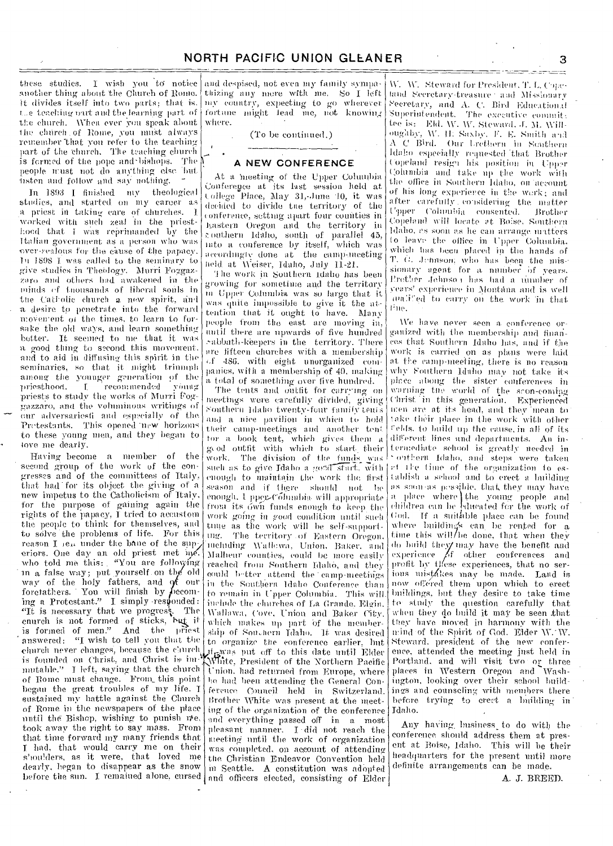these studies. I wish you to notice another thing about the Church of Rome. It divides itself into two parts; that is. t..e teaching ourt and the learning part of the church. When ever you speak about the church of Rome, you must always remember 'that you refer to the teaching part of the church. The teaching church is formed of the pope and bishops. The  $\tilde{N}$ people trust not do anything else hut insten and follow and say nothing.

In 1893 I finished my theological studies, and started on my career as a priest in taking. care of churches. 1. worked with such zeal in the priesthood that I was reprimanded by the Italian government as a person who was cver-f-ealous for the cause of the papacy. **in 1898 1** was called to the seminary to give studies in Theology. Murri Forgazzaro and others had awakened in the minds '•f tnousands of liberal souls in the Catholic church a new spirit, and a desire. to penetrate into the forward. movement of the times, to learn to forsake the old ways, and learn something better. It seemed. to me that it was a good thing to second this movement. and to aid in diffusing this spirit in the seminaries, so that it might trinnoph among the younger generation of the<br>priesthood. I recommended young priesthood. I recommended priests to study the works of Murri Fog- ;gazzaro, and the voluminous writings of our adversariesti and especially of the Protestants. This opened new horizons to these young men, and they began to love me dearly.

Having become a member of the second group of the work of the congresses and of the committees of Italy, that had for its object the giving of a new impetus to the Catholicism of Italy, for the purpose of gaining again the rights of the papacy, I tried to accustom the people to think for themselves, and to solve the problems of life. For this reason I ie., under the bane of the superiors. One day an old priest met ne. who told me this: "You are following in a false way; put yourself on the old way of the holy fathers, and of our foretathers. You will finish by  $f$  becoming a Protestant." I simply responded:  $"$ It is necessary that we progress. The enurch is not formed of sticks, but it is formed of men." And the priest answered: "I wish to tell you that the church never changes, because the church is founded on Christ, and Christ is immutable." I left, saying, that the church of home must change. From\_ this point began the great troubles of my life. T sustained my battle against the Church of Rome in the newspapers of the place until the Bishop, wishing to punish  $\psi$ e, took away the right to say mass. From that time forward my many friends that I had, that would carry me on their shoulders, as it were, that loved me dearly, began to disappear as the snow

and despised, not even my family sympathizing any inure with me. So I left my country, expecting to go wherever fortune might lead me, not knowing where.

(To be continued.)

#### **A NEW CONFERENCE**

At a meeting of the Upper Columbia Conference at its last session held at t.ollege Place. May 31,-June 10, it was decided to divide the territory of the conference, setting apart four counties in Eastern Oregon and the territory in outhern Idaho, south of parallel 45, into a conference by itself, which was accordingly done at the camp-ineeting held at Weiser, Idaho, July 11-21.

'the work-in Southern Idaho has been growing for sometime and the territory no tipper Columbia was so large that it, was quite impossible to give it the attention that it ought to have. Many people from the east are moving in, until there are upwards of five hundred .-abbatl,-keepers in the territory. There are fifteen churches with a membership  $486$ . with eight unorganized companies, with a membership of 40, making a total of something over live hundred.

before the sun. I remained alone, cursed and officers elected, consisting of Elder The tents and outfit for carrying on meetings were carefully divided, giving Southern Idaho twenty-four family tenis and a nice pavilion in which to hold their camp-meetings and another tent for a book tent, which gives them a od outfit with which to start. their work. The division of the funds was<br>such as to give Idaho a good start, with enough to maintain the work the first season and if there should not enough. 1 pper-Columbia will appropriate from its own funds enough to keep the work going in good condition until such the as the work will be self-support-<br>une. The territory of Eastern Oregon The territory of Eastern Oregon. including Wallowa, Union, Baker. and Malheur counties, could he inure easily reached from Southern Idaho, and they could better attend the camp-meetings in the Southern Idaho Conference than to remain in Upper Columbia. This will include the churches of La Grande. Elgin. Wallawa, Cove, Union and Baker City. which makes up part of the membership of Southern Idaho. It was desired to organize the conference earlier, but it<sub>r</sub>gman one concerned carrier, and ....;,White, President of the Northern Pacific Union. had returned from Europe, where he had been attending the General Conference Council held in Switzerland. Brother White was present at the nieetbig of the organization of the conference and everything passed off in a most pleasant manner. I did not reach the meeting until the work of organization was completed, on account of attending the Christian Endeavor Convention held in Seattle. A constitution was adopted

W. W. Steward for President. T. I. Copeland Secretary-treasure · and Missionary Secretary, and A. C. Bird Educational Superintendent. The executive committee is: Eld. W. W. Steward. J. M. Willoughby, W. H. Saxby, F. E. Smith and A C Bird. Our trethern in Sonthern Idaho especially requested that Brother Copeland resign his position in Upper Columbia and take up the work with the office in Southern Idaho, on account of his long experience in the work; and <sup>a</sup> fter carefully . considering the matter Upper Columbia consented. Brother Copeland will locate at Boise, Southern Idaho, as soon as he can arrange matters to leave the office in Upper Columbia. which has been placed in the hands of T. O. Jennson, who has been the missionary agent for a number of years. Prother Jehnso) has had a number of years' experience in Montana and is well fine. analited to carry on the work in that

We have never seen a conference organized with the membership and finances that; Southern Idaho has, and if the work is carried on as plans Were laid at the camp-meeting, there is no reason why Fouthern Idaho may not take its place atoong the sister conferences in warning the world of the scon-coming Christ in this generation. Experienced men are at its head, and they mean to take their place in the work with other celds, to build up the cause, in all of its different lines and departments. An intermediate school is greatly needed in ' outhern Idaho, and steps were taken et lie lime of the organization to establish a school and to erect a building as soon as possible, that they may have<br>a place where the young people and children can he hdueated for the work of God. If a suitable place can be found where buildings can be rented for a time this will/be done, that when they do build they may have the benefit and experience  $\cancel{\beta}$ f other conferences and prefit by these experiences, that no serious mistakes may be made. Land is now offered them upon which to erect buildings, but they desire to take time to stndy the question carefully that when they do build it may be seen that they have moved in harmony with the mind of the Spirit of God. Elder W.- W. Steward, president of the new conference, attended the meeting just held in Portland. and will visit two or three plates in Western Oregon and Washplaces in Western Oregon and Wash-<br>ington, looking over their school buildings and counseling with members there before trying to erect a building in Idaho.

Any having business to do with the conference, should address them at present at Boise, Idaho. This will be their headquarters for the present until more definite arrangements can be made.

A. J. BREER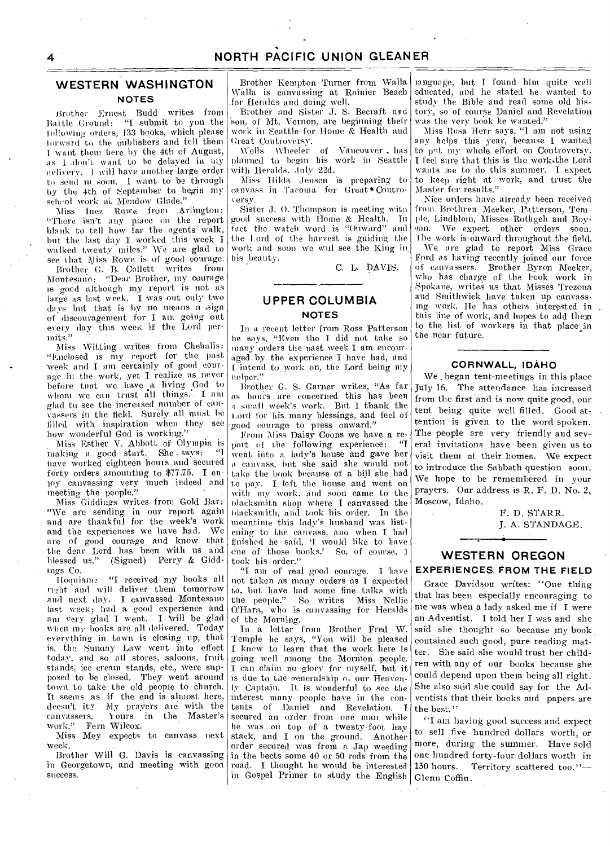### **WESTERN WASHINGTON NOTES**

Brother Ernest Budd writes from Battle Ground: "I submit to you the following orders, 133 books, which please torward to the publishers and tell them 1 want them here by the 4th of August; as I don't want to be delayed in uly delivery. 1 will 'have another large order to send in soon. I want to be through by the 4th of September .to begin my scheol work at Meadow Glade."

Miss Inez Rowe from Arlington: There isn't any place on the report blank to tell how far the agents walk, but the last day 1 worked \_this week I. walked twenty miles." We are glad to see that Miss Rowe is of good courage.

Brother G. B. Collett writes from Montesano: "Dear Brother, my courage is good although my report is not as large as last week. 1 was out only two days but that is by no means a. sign of discouragement for I am going out every day this week if the Lord permits."

Miss Witting writes front Chehalis: "Enclosed is my report for the past week and I am certainly of good courage in the work, yet I realize as never before tnat we have a living God to whom we can trust all things. I am glad to see the increased number of canvassers in the field. Surely all must be tilled with, inspiration when they see how wonderful God is working."

Miss Esther V. Abbott of Olympia is making a good start. She says: have worked eighteen hours and secured forty orders amounting to \$77.75. I enioy canvassing very much indeed and meeting the people."

Miss Giddings writes from Gold Bar: "We are sending in our report again and are thankful for the week's work. and the experiences we have had. are of good courage and know that the dear Lord has been with us and blessed us." (Signed) Perry & Giddings Co.

Hoquiam: "I received my books all right and will deliver them tomorrow and next day. I canvassed Montesano last week; had a good experience and am very glad I went. I will be glad when my books are all delivered. Today everything in town is closing up, that is, the Sunaay Law went into effect today, and so all stores, saloons, fruit stands; ice cream stands, etc., were supposed to be closed. They went around town to take the old people to church. Tt seems as if the end is almost here, doesn't it? My prayers are with the canvassers. Yours in the Master's work." Fern Wilcox.

Miss Mey expects to canvass next week.

Brother Will G. Davis is canvassing in Georgetown, and meeting with goon success.

Brother Kempton Turner from Walla \Valla is canvassing at Rainier Beach .for Heralds and doing well.

Brother and Sister J. S. Becraft and son, of Mt. Vernon, are beginning their work in Seattle for Home & Health and Great Controversy.

Wells Wheeler of Vancouver . has planned to begin his work in Seattle with Heralds. July 22d.

Miss Hilda Jensen is preparing to canvass in Tacoma for Great • Controversy.

Sister J. 0. Thompson is meeting with good success with Home &. Health. In fact the watch word is "Onward" and the Lord of the harvest is guiding the work and soon we will see the King in his beauty.

C. L. DAVIS.

## **UPPER COLUMBIA NOTES**

In a recent letter from Ross Patterson he says, "Even tho I did not take so many orders the nast week I am encouraged by the experience I have had, and I. intend to work on, the Lord being my elper."

Brother G. S. Garner writes, "As far as hours are concerned this has been a. small week's work. But I thank the Lord for his many blessings, and feel of good courage to press onward."

From Miss Daisy Coons we have a report of the following experience: went into a lady's house and gave her a canvass, but she said she would not take the book because of a bill she had to pay, I left the house and went on with my work, and soon came to the blacksmith shop where I canvassed the blacksmith, and took his order. In the meantime this lady's husband was listening to the canvass, and when I had finished he said, 'I would like to have one of those books.' So, of course, took his order."

"I am of real good courage. I 'have not taken as many orders as I expected to, but have had some fine talks with<br>the people." So writes Miss Nellie So writes Miss Nellie O'Hara, who is canvassing for Heralds of the Morning.

In a letter from Brother Fred W. Temple he says, "You will be pleased knew to learn that the work here is going well among the Mormon people. can claim no glory for myself, but it is due to the generalship of our Heavenly Captain. It is wonderful to see the interest many people have in the contents of Daniel and Revelation. I secured an order from one man while he was on top of a twenty-foot hay stack, and I on the ground. Another order secured was from a Jap weeding in the beets some 40 or 50 rods from the road. I thought he would be interested in Gospel Primer to study the English

language, but 1 found hint quite well educated, and he stated he wanted to study the Bible and read some old history, so of course Daniel and. Revelation was the very book he wanted."

Miss Rosa- Herr says, "I am not using any helps this year, because I wanted to pit my whole effort on Controversy. I feel sure that this is the worktthe Lord wants me to do this summer. I expect to keep right at work, and trust the Master for results."

Nice orders have already been received from Brethren Meeker, Patterson, Temple, Lindblom,' Misses Rothgeb and Boyson. We expect other orders soon. The work is onward throughout the field.

We are glad to report Miss Grace Ford as having recently joined our force of canvassers. Brother Byron Meeker, who has charge of the hook work in Spokane, writes us that Misses Trezona and Smithwick have taken up canvassmg work. He has others interested in this line of work, and hopes to add them to the list of workers in that place in the near future.

### **CORNWALL, IDAHO**

We began tent-meetings in this place July 16. The attendance has increased from the first and is now quite good, our tent being quite well filled. Good attention is given to the word spoken. The people are very friendly and several invitations have been given us to visit them at their homes. We expect to introduce the Sabbath question soon. We hope to be remembered in your prayers. Our address is R. F. D. No. 2, Moscow, Idaho.

> F. D. STARR. J. A. STANDAGE.

### **WESTERN OREGON EXPERIENCES. FROM THE FIELD**

Grace Davidson writes: "One thing that has been especially encouraging to me was when a lady asked me if I were an Adventist. I told her I was and she said she thought so because my book contained such good, pure reading matter. She said she would trust her children with any of our books because she could depend upon them being all right. She also said she could say for the Adventists that their books and papers are the best."

"I am having-good success and expect to sell five hundred dollars worth, or more, during the summer. Have sold one hundred forty-four dollars worth in 130 hours. Territory scattered too." $-$ Glenn Coffin.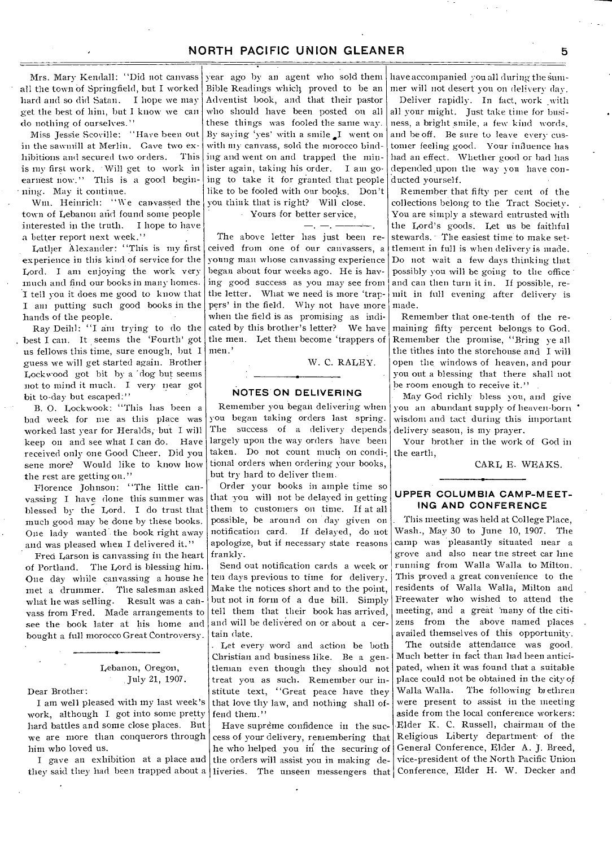Mrs. Mary Kendall: ' 'Did not canvass all the town of Springfield, but I worked hard and so did Satan. I hope we may get the best of him, but I know we can do nothing of ourselves."

Miss Jessie Scoville: "Have been out in the sawmill at Merlin. Gave two exhibitions and secured two orders. This is my first work. - Will get to work in earnest now." This is a good beginning. May it continue.

Wm. Heinrich: "We canvassed the town of Lebanon and found some people interested in the truth. I hope to have a better report next week."

Luther Alexander: "This is my first experience in this kind of service for the Lord. I am enjoying the work very much and find our books in many homes. I tell you it does me good to know that I am putting such good books in the hands of the people.

Ray Deihl: "I am trying to do the best I can. It seems the 'Fourth' got us fellows this time, sure enough, but I guess we will get started again. Brother Lockwood got bit by a "dog but seems not to mind it much. I very near got bit to-day but escaped:"

B. 0. Lockwook: "This has been a bad week for me as this place was worked last year for Heralds, but I will keep on and see what I can do. Have received only one Good Cheer. Did you sene more? Would like to know how the rest are getting on."

Florence Johnson: "The little canvassing I have done this summer was blessed by the Lord. I do trust that much good may be done by these books. One lady wanted the book right away and was pleased when I delivered it."

Fred Larson is canvassing in the heart of Portland. The Lord is blessing him. One day while canvassing a house he met a drummer. The salesman asked The salesman asked.<br>Result was a canwhat he was selling. vass from Fred. Made arrangements to see the book later at his home and bought a full morocco Great Controversy.

### Lebanon, Oregon, July 21, 1907.

Dear Brother:

I am well pleased with my last week's work, although I got into some pretty hard battles and some close places. But we are more than conquerors through him who loved us.

they said they had been trapped about a liveries. The unseen messengers that Conference, Elder H. W. Decker and

year ago by an agent who sold them Bible Readings which proved to be an Adventist book, and that their pastor who should have been posted on all these things was fooled the same way. By saying 'yes' with a smile  $I$  went on with my canvass, sold the morocco binding and went on and trapped the minister again, taking his order. I am going to take it for granted that people like to be fooled with our books. Don't you think that is right? Will close. • Yours for better service,

# $-1$ .

The above letter has just been received from one of our canvassers, a young man whose canvassing experience began about four weeks ago. He is having good success as you may see from the letter. What we need is more 'trappers' in the field. Why not have more when the field is as promising as indicated by this brother's letter? We have the men. Let them become 'trappers of men.'

W. C. RALEY.

### **NOTES ON DELIVERING**

Remember you began delivering when you began taking orders last spring. The success of a delivery depends largely upon the way orders have been taken. Do not count much on conditional orders when ordering your books. but try hard to deliver them.

Order your books in ample time so that you will not be delayed in getting them to customers on time. If at all possible, be around on day given on notification card. If delayed, do not apologize, but if necessary state reasons frankly.

Send out notification cards a week or ten days previous to time for delivery. Make the notices short and to the point, but not in form of a due bill. Simply tell them that their book has arrived, and will be delivered on or about a certain date.

. Let every word and action be both Christian and business like. Be a gentleman even though they should not treat you as such. Remember our institute text, "Great peace have they that love thy law, and nothing shall offend them."

Have supreme confidence in the success of your delivery, remembering that he who helped you in the securing of I gave an exhibition at a place and the orders will assist you in making de-

have accompanied you all during thesummer will not desert you on delivery day.

Deliver rapidly. In fact, work with all your might. Just take time for business, a bright smile, a few kind words, and be off. Be sure to leave every customer feeling good. Your influence has had an effect. Whether good or bad has depended upon the way you have conducted yourself.

Remember that fifty per cent of the collections belong to the Tract Society. You are simply a steward entrusted with the Lord's goods. Let us be faithful stewards. - The easiest time to make settlement in full is when delivery is made. Do not wait a few days thinking that possibly you will be going to the office • and can then turn it in. If possible, remit in full evening after delivery is made.

Remember that one-tenth of the remaining fifty percent belongs to God. Remember the promise, "Bring ye all the tithes into the storehouse and I will open the windows of heaven, and pour you out a blessing that there shall not be room enough to receive it."

May God richly bless you, and give you an abundant supply of heaven-born • wisdom and tact during this important delivery season, is my prayer.

Your brother in the work of God in the earth,

CARL E. WEAKS.

#### **UPPER COLUMBIA CAMP-MEET-ING AND CONFERENCE**

This meeting was held at College Place, Wash., May 30 to June 10, 1907. The camp was pleasantly situated near a grove and also near tne street car line running from Walla Walla to Milton. This proved a great convenience to the residents of Walla Walla, Milton and Freewater who wished to attend the meeting, and a great 'many of the citizens from the above named places availed themselves of this opportunity.

The outside attendance was good. Much better in fact than had been anticipated, when it was found that a suitable place could not be obtained in the city of Walla Walla. The following brethren were present to assist in the meeting aside from the local conference workers: Elder K. C. Russell, chairman of the Religious Liberty department• of the General Conference, Elder A. J. Breed, vice-president of the North Pacific Union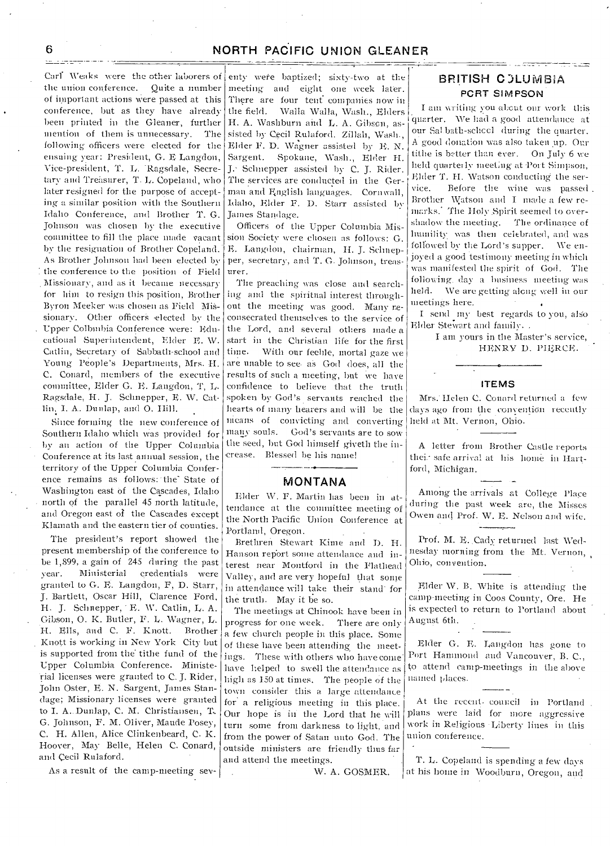Carl Weaks were the other laborers of the union conference. Quite a number of important actions were passed at this conference, but as they have already been printed in the Gleaner, further mention of them is unnecessary. The following officers were elected for the ensuing year: President, G. E Langdon, Vice-president, T. U. Ragsdale, Secretary and Treasurer, T. L. Copeland, who later resigned for the purpose of accepting a similar position with the Southern Idaho Conference, and Brother T. G. Johnson was chosen by the executive committee to fill the place made vacant by the resignation of Brother Copeland. As Brother Johnson had been elected by the conference to the position of Field Missionary, and as it became necessary for him to resign this position, Brother Byron Meeker was chosen as Field MiSsionary. Other officers elected by the Upper Colbmbia Conference were: Educational Superintendent, Elder E. W. Catlin, Secretary of Sabbath-school and Young People's Departments, Mrs. H. C. Conard, members of the executive committee, Elder G. E. Langdon, T, L. Ragsdale, H. J. Schnepper, E. W. Catlin, I. A. Dunlap, and O. Hill.

Since forming the new conference of Southern Idaho which was provided for by an action of the Upper Columbia Conference at its last annual session, the territory of the Upper Columbia Conference remains as follows:' the' State of WaShington east of the Cascades, Idaho north of the parallel 45 north latitude, and Oregon east of the Cascades except Klamath and the eastern tier of counties.

The president's report showed the present membership of the conference to be 1,899, a gain of 245 during the past year. Ministerial credentials were granted to G. E. Langdon, F, D. Starr, J. Bartlett, Oscar Hill, Clarence Ford, H. J. Schnepper, E. W. Catlin, L. A. Gibson, 0. K. Butler, F. U. Wagner, L. H. Ells, and C. F. Knott. Brother Knott is working in New York City but is supported from the tithe fund of the Upper Columbia Conference. Ministerial licenses were granted to C. J. Rider, John Oster, E. N. Sargent, James Standage; Missionary licenses were granted to I. A., Dunlap, C. M. Christiansen, T.. G. Johnson, F. M. Oliver, Maude Posey, C. H. Allen, Alice Clinkenbeard, C. K. Hoover, May Belle, Helen C. Conard, and Cecil Rulaford.

As a result of the camp-meeting sev-

enty were baptized; sixty-two at the meeting and eight one week later. There are four tent companies now in the field. \Valla Walla, Wash., Elders H. A. Washburn and L. A. Gibson, assisted by Cecil Rulaford. Zillah, Wash., Elder F. D. Wagner assisted by E. N. Sargent. Spokane, Wash., Eleler H. J.• Schnepper assisted by C. J. Rider. The services are conducted in the German and English languages. Cornwall, Idaho, Elder F. D. Starr assisted by James Standage.

Officers of the Upper Columbia Mission Society were chosen as follows: G. Langdon, chairman, H. J. Schnepper, secretary, and T. G. Johnson, treasurer.

The preaching was close and searching and the spiritual interest throughout the meeting was good. Many reconsecrated themselves to the service of the Lord, and several others made a start in the Christian life for the first<br>time. With our feelile, mortal gaze we With our feeble, mortal gaze we are unable to see. as God does, all the results of such a meeting, but we have confidence to believe that the truth spoken by God's servants reached the hearts of many hearers and will be the means of convicting and converting many souls. God's servants are to sow the seed, but God himself giveth the in--crease. Blessed be his name!

### MONTANA

Elder W. F. Martin has been in attendance at the committee meeting of the North Pacific Union Conference at Portland, Oregon.

Brethren Stewart Rime and D. H. Hanson report some attendance and interest near Montford in the Flathead Valley, and are very hopeful that sonic in attendance will take their stand' for the truth. May it be so.

The meetings at Chinook have been in progress for one week. There are only a few church people in this place. Some of these have been attending the meetings. These with others who have come have helped to swell the attendance as high as 150 at times. The people of the town consider this a large attendance for.a religious meeting in this place. Our hope is in the Lord that he will turn some from darkness to light, and from the power of Satan unto God. The outside ministers are friendly thus far and attend the meetings.

W. A. GOSMER.

## BRITISH C)LUMBiA **PCRT** SIMPSON

I am writing you about our work this quarter. We Imad a good attendance at our Sal bath-school during the quarter. A good donation was also taken up. Our tithe is better than ever. On July 6 we held quarterly meeting at Port Simpson, Elder T. H. Watson conducting the service. Before the wine was passed . Brother Watson and I made a few remarks. The Holy Spirit seemed to overshadow the meeting. The ordinance of humility was then celebrated, and was followed by the Lord's supper. We enjoyed a good testimony meeting in which was manifested the spirit of God. The following. day a business meeting was held. We are getting along well in our meetings here.

I send my best regards to you, also Elder Stevart and family. .

> I am yours in the Master's service, HENRY D. PHERCE.

#### **ITEMS**

Mrs. Helen C. Conard returned a few days ago from the convention recently held at Mt. Vernon, Ohio.

A letter from Brother Castle reports thei.- safe arrival at Ins home in Hartford, Michigan.

Among the arrivals at College Place during the past week are, the Misses Owen and Prof. W. E. Nelson and wife.

Prof. M. E. Cady returned last Wednesday morning-from the Mt. Vernon, Ohio, convention..

Elder W. B. White is attending the camp-meeting in Coos County, Ore. He is expected to return to Portland about August 6th.

Elder G. E. Langdon has gone to Port Hammond and Vancouver, B. C., to attend camp-meetings in the above named places.

At the recent. council in Portland . plans were laid for more aggressive work in Religious Liberty lines in this union conference.

T. L. Copeland is spending a few days at his home in Woodburn, Oregon, and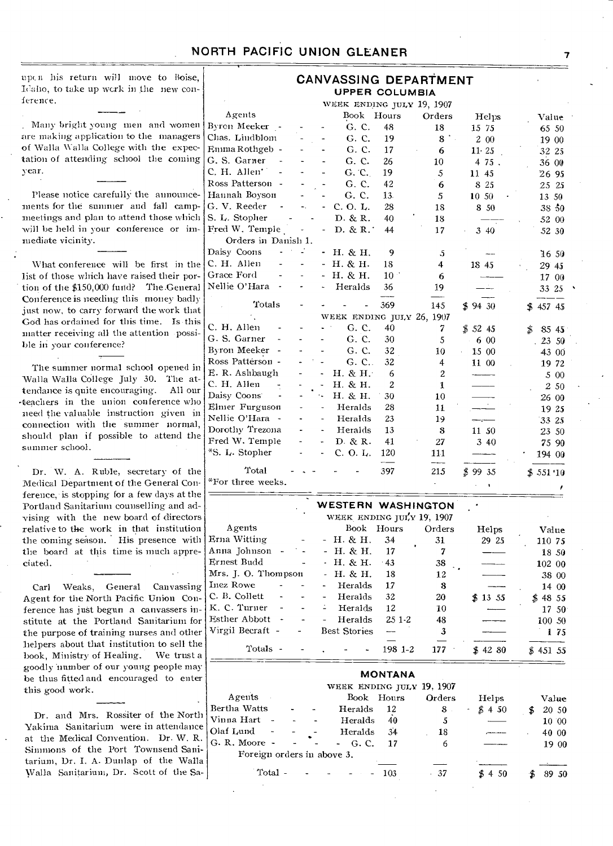upcu his return will move to Boise, Idaho, to take up work in the new conference.

. Many bright young men and women are making application to the managers of Walla Walla College with the expectation of attending school the coming year.

Please notice carefully the announcements for the summer and fall campmeetings and plan to attend those which will be held in your conference or immediate vicinity.

What conference will be first in the list of those which have raised their portion of the \$150,000 fund? The.General Conference is needing this money badly just now, to carry forward the work that God has ordained for tins time. Is this matter receiving all the attention -possible in your conference?

The summer normal school opened in Walla Walla College July 30. The at-<br>tendance is quite encouraging. All our tendance is quite encouraging. -teachers in the union conference who need the valuable instruction given in connection with the summer normal, should plan if possible to attend the summer school.

Dr. W. A. Ruble, secretary of the Medical Department of the General Conference, is stopping for a few days at the Portland Sanitarium counselling and advising with the new board of directors relative to the work in that institution the coming season. His presence with the board at this time is much appreciated.

Carl Weaks, General Canvassing Agent for the North Pacific Union Conference has just begun a canvassers institute at the Portland Sanitarium for the purpose of training nurses and other helpers about that institution to sell the book. Ministry of Healing. We trust a book. Ministry of Healing. goodly number of our young people may be thus fitted and encouraged to enter this good work.

Dr. and Mrs. Rossiter of the North Yakima Sanitarium were in attendance at the Medical Convention. Dr. W. R. Simmons of the Port Townsend Sanitarium, Dr. I. A. Dunlap of the Walla Walla Sanitarium, Dr. Scott of the Sa-

|                                           |                      | <b>UPPER COLUMBIA</b>               |              | CANVASSING DEPARTMENT     |            |             |
|-------------------------------------------|----------------------|-------------------------------------|--------------|---------------------------|------------|-------------|
|                                           |                      | WEEK ENDING JULY 19, 1907           |              |                           |            |             |
| Agents                                    |                      | Book                                | Hours        |                           |            |             |
| Byron Meeker –                            |                      |                                     |              | Orders                    | Helps      | Value       |
| Chas. Lindblom                            |                      | G. C.                               | 48           | 18                        | 15 75      | 65 50       |
|                                           |                      | G. C.                               | 19           | 8 .                       | 2 00       | 19 00       |
| Emma Rothgeb  -                           |                      | G. C.                               | 17           | 6                         | 11.25      | 32 25       |
| G. S. Garner<br>C. H. Allen'              | L,                   | G. C.<br>$\blacksquare$             | 26           | 10                        | 475.       | 36 00       |
|                                           |                      | G. C.                               | 19           | 5                         | 11 45      | 26 95       |
| Ross Patterson -                          |                      | G. C.                               | 42           | 6                         | 8 25       | 25 25       |
| Hannah Boyson                             |                      | G. C.                               | 13.          | 5                         | 10 50      | 13 50       |
| G. V. Reeder                              | Ξ.                   | C. O. L.<br>ä,                      | 28           | 18                        | 8 50       | 38 50       |
| S. L. Stopher                             |                      | D. & R.                             | 40           | 18                        |            | 52 00       |
| Fred W. Temple                            |                      | D. & R.<br>$\blacksquare$           | 44           | 17                        | 3 40       | 52 30       |
| Orders in Danish 1.                       |                      |                                     |              |                           |            |             |
| Daisy Coons                               |                      | H. & H.<br>$\overline{\phantom{a}}$ | 9            | 5                         |            | 16,50       |
| C. H. Allen                               |                      | Н. & Н.<br>$\overline{a}$           | 18           | 4                         | 18 45      | 29 45       |
| Grace Ford                                |                      | H. & H.<br>$\overline{a}$           | $10 -$       | 6                         |            | 17 00       |
| Nellie O'Hara<br>$\overline{\phantom{a}}$ |                      | Heralds<br>L.                       | 36           | 19                        |            | 33 25       |
| Totals                                    |                      |                                     | 369          | 145                       | \$9430     | 457 45      |
|                                           |                      | WEEK ENDING JULY 26, 1907           |              |                           |            |             |
| C. H. Allen                               | $\ddot{\phantom{1}}$ | G. C.                               | 40           | 7                         | \$5245     | \$<br>85 45 |
| G. S. Garner                              |                      | G. C.                               | 30           | 5                         | 6 00       | 23 50       |
| Byron Meeker                              |                      | G. C.                               | 32           | 10                        | 15 00      | 43 00       |
| Ross Patterson -                          | L.                   | G. C<br>٠                           | 32           | $\overline{4}$            | 11 00      | 19 72       |
| E. R. Ashbaugh                            |                      | H. & H.                             | 6            | 2                         |            | 5 00        |
| C. H. Allen                               |                      | H. & H.                             | $\mathbf{2}$ | $\mathbf{1}$              |            | 2 50        |
| Daisy Coons                               |                      | H. & H.<br>٠.                       | 30           | 10                        |            | 26 00       |
| Elmer Furguson                            |                      | Heralds<br>$\frac{1}{2}$            | 28           | 11                        | $\epsilon$ | 19 25       |
| Nellie O'Hara<br>$\sim$                   | L.                   | Heralds<br>$\overline{\phantom{a}}$ | 23           | 19                        |            | 33 25       |
| Dorothy Trezona                           |                      | Heralds<br>$\overline{\phantom{a}}$ | 13           | 8                         | 11 50      | 23 50       |
| Fred W. Temple                            |                      | D. & R.<br>÷.                       | 41           | 27                        | 340        | 75 90       |
| *S. L. Stopher                            |                      | C. O. L.<br>$\overline{a}$          | 120          | 111<br>-----              |            | 194 00      |
| Total                                     |                      |                                     | 397          | 215                       | \$9935     | \$551~10    |
| *For three weeks.                         |                      |                                     |              |                           | $\bullet$  |             |
|                                           |                      | WESTERN WASHINGTON                  |              |                           |            |             |
|                                           |                      |                                     |              | WEEK ENDING JULY 19, 1907 |            |             |
| Agents                                    |                      | Book                                | Hours        | Orders                    | Helps      | Value       |
| Erna Witting                              |                      | - Н. & Н.                           | 34           | 31                        | 29 25      | 110 75      |
| Anna Johnson                              |                      | H. & H.<br>u,                       | 17           | 7                         |            | 18 50       |
| Ernest Budd                               | $\ddot{\phantom{1}}$ | H. & H.<br>÷.                       | $-43$        | 38                        |            | 102 00      |
| Mrs. J. O. Thompson                       |                      | H. & H.                             | 18           | 12                        |            | 38 00       |
| Inez Rowe<br>$\overline{a}$               |                      | Heralds<br>$\overline{a}$           | 17           | 8                         |            | 14 00       |
|                                           |                      |                                     |              |                           |            |             |

**MONTANA** 

C. B. Collett - - - Heralds  $32$  20 \$ 13 55 \$ 48 55 K. C. Turner - - - Heralds 12 10 - 17 50<br>
Esther Abbott - - - Heralds 25 1-2 48 - 100 50

Virgil Becraft - - Best Stories — 3 - 175

 $\frac{-}{-}$   $\frac{3}{-}$ Totals - - . - - 198 1-2 177  $$4280 \t $45155$ 

Esther Abbott - - - Heralds<br>Virgil Becraft - - Best Stories

|               |         |                                   | WEEK ENDING JULY 19, 1907                         |            |                |           |   |       |
|---------------|---------|-----------------------------------|---------------------------------------------------|------------|----------------|-----------|---|-------|
| Agents        |         |                                   |                                                   | Book Hours | Orders         | Helps     |   | Value |
| Bertha Watts  |         |                                   | Heralds                                           | 12         | 8 <sub>1</sub> | $-$ \$450 | Я | 20 50 |
| Vinna Hart -  |         | $\overline{a}$                    | Heralds                                           | 40         | 5              |           |   | 10 00 |
| Olaf Lund -   |         |                                   | Heralds                                           | 34         | 18             |           |   | 40 00 |
| G. R. Moore - |         | <b>Contract Contract Contract</b> | $-G. C.$                                          | 17         | 6              |           |   | 19 00 |
|               |         |                                   | Foreign orders in above 3.                        |            |                |           |   |       |
|               |         |                                   |                                                   |            |                |           |   |       |
|               | Total - |                                   | <b>Contract Contract</b><br>$\tilde{\phantom{a}}$ | $-103$     | $-37$          | \$4,50    |   | 89 50 |